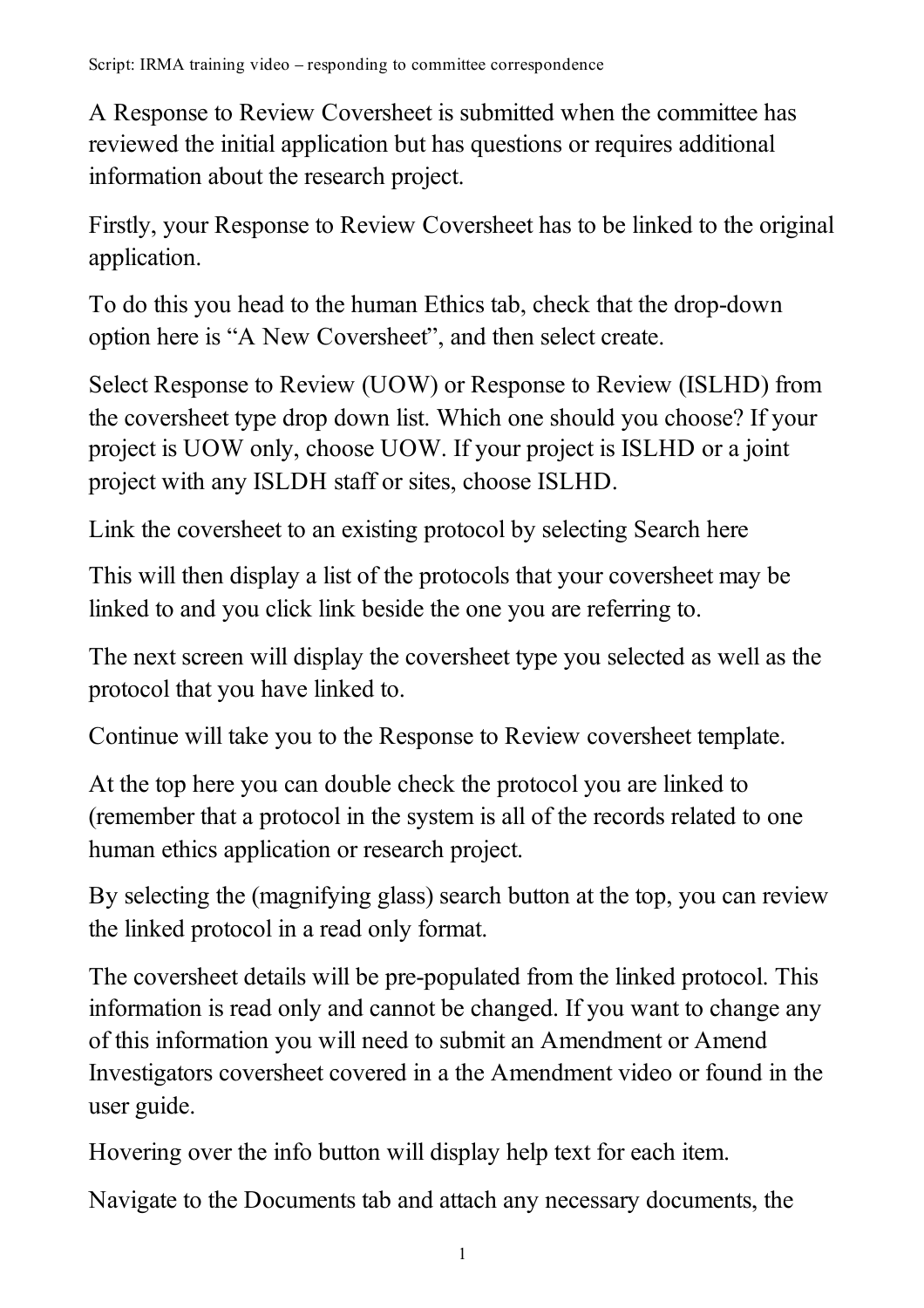A Response to Review Coversheet is submitted when the committee has reviewed the initial application but has questions or requires additional information about the research project.

Firstly, your Response to Review Coversheet has to be linked to the original application.

To do this you head to the human Ethics tab, check that the drop-down option here is "A New Coversheet", and then select create.

Select Response to Review (UOW) or Response to Review (ISLHD) from the coversheet type drop down list. Which one should you choose? If your project is UOW only, choose UOW. If your project is ISLHD or a joint project with any ISLDH staff or sites, choose ISLHD.

Link the coversheet to an existing protocol by selecting Search here

This will then display a list of the protocols that your coversheet may be linked to and you click link beside the one you are referring to.

The next screen will display the coversheet type you selected as well as the protocol that you have linked to.

Continue will take you to the Response to Review coversheet template.

At the top here you can double check the protocol you are linked to (remember that a protocol in the system is all of the records related to one human ethics application or research project.

By selecting the (magnifying glass) search button at the top, you can review the linked protocol in a read only format.

The coversheet details will be pre-populated from the linked protocol. This information is read only and cannot be changed. If you want to change any of this information you will need to submit an Amendment or Amend Investigators coversheet covered in a the Amendment video or found in the user guide.

Hovering over the info button will display help text for each item.

Navigate to the Documents tab and attach any necessary documents, the